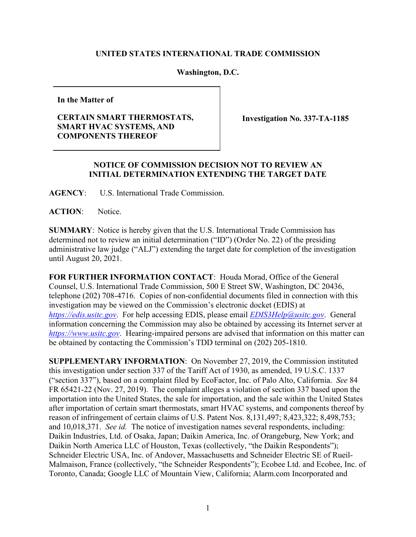## **UNITED STATES INTERNATIONAL TRADE COMMISSION**

## **Washington, D.C.**

**In the Matter of**

## **CERTAIN SMART THERMOSTATS, SMART HVAC SYSTEMS, AND COMPONENTS THEREOF**

**Investigation No. 337-TA-1185**

## **NOTICE OF COMMISSION DECISION NOT TO REVIEW AN INITIAL DETERMINATION EXTENDING THE TARGET DATE**

**AGENCY**: U.S. International Trade Commission.

ACTION: Notice.

**SUMMARY**: Notice is hereby given that the U.S. International Trade Commission has determined not to review an initial determination ("ID") (Order No. 22) of the presiding administrative law judge ("ALJ") extending the target date for completion of the investigation until August 20, 2021.

**FOR FURTHER INFORMATION CONTACT**: Houda Morad, Office of the General Counsel, U.S. International Trade Commission, 500 E Street SW, Washington, DC 20436, telephone (202) 708-4716. Copies of non-confidential documents filed in connection with this investigation may be viewed on the Commission's electronic docket (EDIS) at *[https://edis.usitc.gov](https://edis.usitc.gov/)*. For help accessing EDIS, please email *[EDIS3Help@usitc.gov](mailto:EDIS3Help@usitc.gov)*. General information concerning the Commission may also be obtained by accessing its Internet server at *[https://www.usitc.gov](https://www.usitc.gov/)*. Hearing-impaired persons are advised that information on this matter can be obtained by contacting the Commission's TDD terminal on (202) 205-1810.

**SUPPLEMENTARY INFORMATION**: On November 27, 2019, the Commission instituted this investigation under section 337 of the Tariff Act of 1930, as amended, 19 U.S.C. 1337 ("section 337"), based on a complaint filed by EcoFactor, Inc. of Palo Alto, California. *See* 84 FR 65421-22 (Nov. 27, 2019). The complaint alleges a violation of section 337 based upon the importation into the United States, the sale for importation, and the sale within the United States after importation of certain smart thermostats, smart HVAC systems, and components thereof by reason of infringement of certain claims of U.S. Patent Nos. 8,131,497; 8,423,322; 8,498,753; and 10,018,371. *See id.* The notice of investigation names several respondents, including: Daikin Industries, Ltd. of Osaka, Japan; Daikin America, Inc. of Orangeburg, New York; and Daikin North America LLC of Houston, Texas (collectively, "the Daikin Respondents"); Schneider Electric USA, Inc. of Andover, Massachusetts and Schneider Electric SE of Rueil-Malmaison, France (collectively, "the Schneider Respondents"); Ecobee Ltd. and Ecobee, Inc. of Toronto, Canada; Google LLC of Mountain View, California; Alarm.com Incorporated and